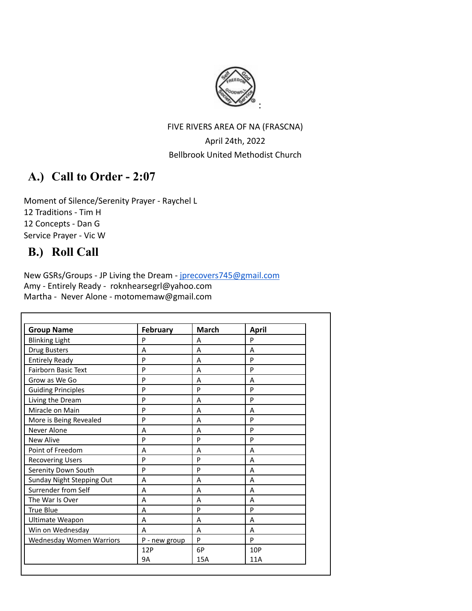

# FIVE RIVERS AREA OF NA (FRASCNA) April 24th, 2022 Bellbrook United Methodist Church

# **A.) Call to Order - 2:07**

Moment of Silence/Serenity Prayer - Raychel L 12 Traditions - Tim H 12 Concepts - Dan G Service Prayer - Vic W

# **B.) Roll Call**

New GSRs/Groups - JP Living the Dream - [jprecovers745@gmail.com](mailto:jprecovers745@gmail.com) Amy - Entirely Ready - roknhearsegrl@yahoo.com Martha - Never Alone - motomemaw@gmail.com

| <b>Group Name</b>         | February      | <b>March</b> | <b>April</b> |  |
|---------------------------|---------------|--------------|--------------|--|
| <b>Blinking Light</b>     | P             | A            | P            |  |
| <b>Drug Busters</b>       | Α             | Α            | A            |  |
| <b>Entirely Ready</b>     | P             | A            | P            |  |
| Fairborn Basic Text       | P             | A            | P            |  |
| Grow as We Go             | P             | A            | A            |  |
| <b>Guiding Principles</b> | P             | P            | P            |  |
| Living the Dream          | P             | A            | P            |  |
| Miracle on Main           | P             | A            | A            |  |
| More is Being Revealed    | P             | A            | P            |  |
| Never Alone               | A             | A            | P            |  |
| <b>New Alive</b>          | P             | P            | P            |  |
| Point of Freedom          | A             | Α            | A            |  |
| <b>Recovering Users</b>   | P             | P            | A            |  |
| Serenity Down South       | P             | P            | A            |  |
| Sunday Night Stepping Out | A             | A            | A            |  |
| Surrender from Self       | A             | A            | A            |  |
| The War Is Over           | A             | A            | A            |  |
| True Blue                 | A             | P            | P            |  |
| Ultimate Weapon           | Α             | A            | A            |  |
| Win on Wednesday          | A             | A            | A            |  |
| Wednesday Women Warriors  | P - new group | P            | P            |  |
|                           | 12P           | 6P           | 10P          |  |
|                           | <b>9A</b>     | <b>15A</b>   | 11A          |  |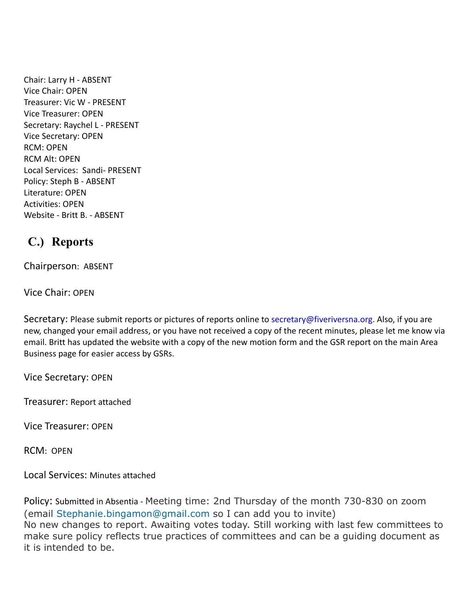Chair: Larry H - ABSENT Vice Chair: OPEN Treasurer: Vic W - PRESENT Vice Treasurer: OPEN Secretary: Raychel L - PRESENT Vice Secretary: OPEN RCM: OPEN RCM Alt: OPEN Local Services: Sandi- PRESENT Policy: Steph B - ABSENT Literature: OPEN Activities: OPEN Website - Britt B. - ABSENT

# **C.) Reports**

Chairperson: ABSENT

Vice Chair: OPEN

Secretary: Please submit reports or pictures of reports online to [secretary@fiveriversna.org](mailto:secretary@fiveriversna.org). Also, if you are new, changed your email address, or you have not received a copy of the recent minutes, please let me know via email. Britt has updated the website with a copy of the new motion form and the GSR report on the main Area Business page for easier access by GSRs.

Vice Secretary: OPEN

Treasurer: Report attached

Vice Treasurer: OPEN

RCM: OPEN

Local Services: Minutes attached

Policy: Submitted in Absentia - Meeting time: 2nd Thursday of the month 730-830 on zoom (email Stephanie.bingamon@gmail.com so I can add you to invite) No new changes to report. Awaiting votes today. Still working with last few committees to make sure policy reflects true practices of committees and can be a guiding document as it is intended to be.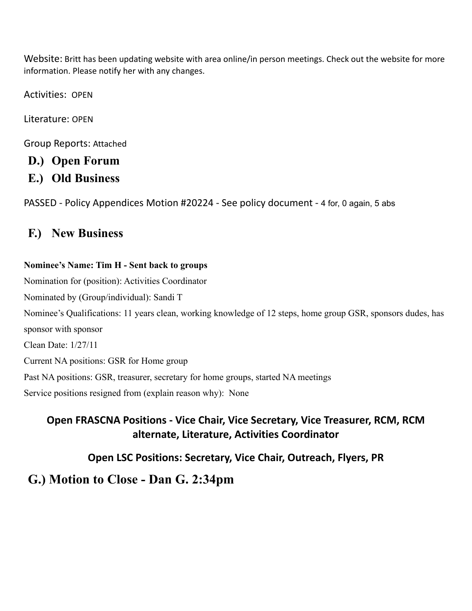Website: Britt has been updating website with area online/in person meetings. Check out the website for more information. Please notify her with any changes.

Activities: OPEN

Literature: OPEN

Group Reports: Attached

# **D.) Open Forum**

**E.) Old Business**

PASSED - Policy Appendices Motion #20224 - See policy document - 4 for, 0 again, 5 abs

# **F.) New Business**

# **Nominee's Name: Tim H - Sent back to groups**

Nomination for (position): Activities Coordinator Nominated by (Group/individual): Sandi T Nominee's Qualifications: 11 years clean, working knowledge of 12 steps, home group GSR, sponsors dudes, has sponsor with sponsor Clean Date: 1/27/11 Current NA positions: GSR for Home group Past NA positions: GSR, treasurer, secretary for home groups, started NA meetings Service positions resigned from (explain reason why): None

**Open FRASCNA Positions - Vice Chair, Vice Secretary, Vice Treasurer, RCM, RCM alternate, Literature, Activities Coordinator**

**Open LSC Positions: Secretary, Vice Chair, Outreach, Flyers, PR**

# **G.) Motion to Close - Dan G. 2:34pm**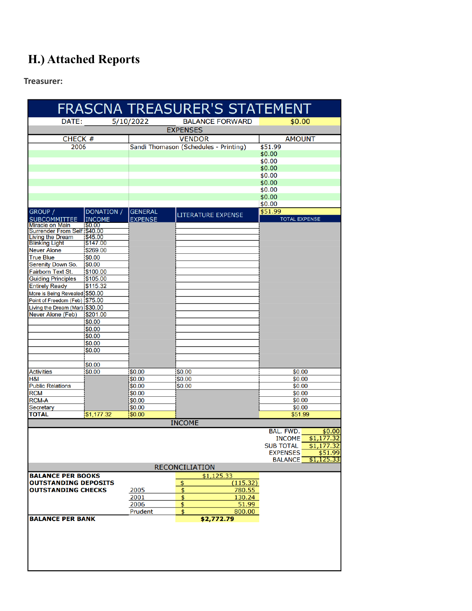# **H.) Attached Reports**

**Treasurer:**

| FRASCNA TREASURER'S STATEMENT                    |                     |                  |                                       |                                          |        |  |  |  |
|--------------------------------------------------|---------------------|------------------|---------------------------------------|------------------------------------------|--------|--|--|--|
| DATE:                                            |                     | 5/10/2022        | <b>BALANCE FORWARD</b>                | \$0.00                                   |        |  |  |  |
|                                                  |                     |                  | <b>EXPENSES</b>                       |                                          |        |  |  |  |
| CHECK #                                          |                     |                  | <b>VENDOR</b>                         | <b>AMOUNT</b>                            |        |  |  |  |
| 2006                                             |                     |                  | Sandi Thomason (Schedules - Printing) | \$51.99                                  |        |  |  |  |
|                                                  |                     |                  |                                       | \$0.00                                   |        |  |  |  |
|                                                  |                     |                  |                                       | \$0.00                                   |        |  |  |  |
|                                                  |                     |                  |                                       | \$0.00                                   |        |  |  |  |
|                                                  |                     |                  |                                       | \$0.00                                   |        |  |  |  |
|                                                  |                     |                  |                                       | \$0.00                                   |        |  |  |  |
|                                                  |                     |                  |                                       | \$0.00<br>\$0.00                         |        |  |  |  |
|                                                  |                     |                  |                                       | \$0.00                                   |        |  |  |  |
| GROUP /                                          | DONATION /          | <b>GENERAL</b>   |                                       | \$51.99                                  |        |  |  |  |
| <b>SUBCOMMITTEE</b>                              | <b>INCOME</b>       | <b>EXPENSE</b>   | <b>LITERATURE EXPENSE</b>             | <b>TOTAL EXPENSE</b>                     |        |  |  |  |
| <b>Miracle on Main</b>                           | 150.00              |                  |                                       |                                          |        |  |  |  |
| Surrender From Self \$40.00                      |                     |                  |                                       |                                          |        |  |  |  |
| <b>Living the Dream</b><br><b>Blinking Light</b> | \$45.00<br>\$147.00 |                  |                                       |                                          |        |  |  |  |
| <b>Never Alone</b>                               | \$269.00            |                  |                                       |                                          |        |  |  |  |
| <b>True Blue</b>                                 | \$0.00              |                  |                                       |                                          |        |  |  |  |
| <b>Serenity Down So.</b>                         | \$0.00              |                  |                                       |                                          |        |  |  |  |
| Fairborn Text St.                                | \$100.00            |                  |                                       |                                          |        |  |  |  |
| <b>Guiding Principles</b>                        | \$105.00            |                  |                                       |                                          |        |  |  |  |
| <b>Entirely Ready</b>                            | \$115.32            |                  |                                       |                                          |        |  |  |  |
| More is Being Revealed \$50.00                   |                     |                  |                                       |                                          |        |  |  |  |
| Point of Freedom (Feb) \$75.00                   |                     |                  |                                       |                                          |        |  |  |  |
| Living the Dream (Mar) \$30.00                   |                     |                  |                                       |                                          |        |  |  |  |
| <b>Never Alone (Feb)</b>                         | \$201.00            |                  |                                       |                                          |        |  |  |  |
|                                                  | \$0.00<br>\$0.00    |                  |                                       |                                          |        |  |  |  |
|                                                  | \$0.00              |                  |                                       |                                          |        |  |  |  |
|                                                  | \$0.00              |                  |                                       |                                          |        |  |  |  |
|                                                  | \$0.00              |                  |                                       |                                          |        |  |  |  |
|                                                  |                     |                  |                                       |                                          |        |  |  |  |
|                                                  | \$0.00              |                  |                                       |                                          |        |  |  |  |
| <b>Activities</b>                                | \$0.00              | \$0.00           | 1\$0.00                               | \$0.00                                   |        |  |  |  |
| H&I                                              |                     | \$0.00           | \$0.00                                | \$0.00                                   |        |  |  |  |
| <b>Public Relations</b>                          |                     | \$0.00           | \$0.00                                | \$0.00                                   |        |  |  |  |
| <b>RCM</b>                                       |                     | \$0.00           |                                       | \$0.00                                   |        |  |  |  |
| <b>RCM-A</b>                                     |                     | \$0.00           |                                       | \$0.00                                   |        |  |  |  |
| Secretary<br><b>TOTAL</b>                        | \$1,177.32          | \$0.00<br>\$0.00 |                                       | \$0.00<br>\$51.99                        |        |  |  |  |
|                                                  |                     |                  |                                       |                                          |        |  |  |  |
|                                                  |                     |                  | <b>INCOME</b>                         |                                          |        |  |  |  |
|                                                  |                     |                  |                                       | BAL. FWD.<br>\$1,177.32<br><b>INCOME</b> | \$0.00 |  |  |  |
|                                                  |                     |                  |                                       | <b>SUB TOTAL</b><br>\$1,177.32           |        |  |  |  |
|                                                  |                     |                  |                                       | \$51.99<br><b>EXPENSES</b>               |        |  |  |  |
|                                                  |                     |                  |                                       | \$1,125.33<br><b>BALANCE</b>             |        |  |  |  |
|                                                  |                     |                  | <b>RECONCILIATION</b>                 |                                          |        |  |  |  |
| <b>BALANCE PER BOOKS</b>                         |                     |                  | \$1,125.33                            |                                          |        |  |  |  |
| OUTSTANDING DEPOSITS                             |                     |                  | (115.32)<br>\$                        |                                          |        |  |  |  |
| OUTSTANDING CHECKS                               |                     | 2005             | $\overline{\mathsf{S}}$<br>780.55     |                                          |        |  |  |  |
|                                                  |                     | 2001             | $\frac{1}{2}$<br>130.24               |                                          |        |  |  |  |
|                                                  |                     | 2006             | 51.99<br>\$                           |                                          |        |  |  |  |
| <b>BALANCE PER BANK</b>                          |                     | Prudent          | 800.00<br>\$<br>\$2,772.79            |                                          |        |  |  |  |
|                                                  |                     |                  |                                       |                                          |        |  |  |  |
|                                                  |                     |                  |                                       |                                          |        |  |  |  |
|                                                  |                     |                  |                                       |                                          |        |  |  |  |
|                                                  |                     |                  |                                       |                                          |        |  |  |  |
|                                                  |                     |                  |                                       |                                          |        |  |  |  |
|                                                  |                     |                  |                                       |                                          |        |  |  |  |
|                                                  |                     |                  |                                       |                                          |        |  |  |  |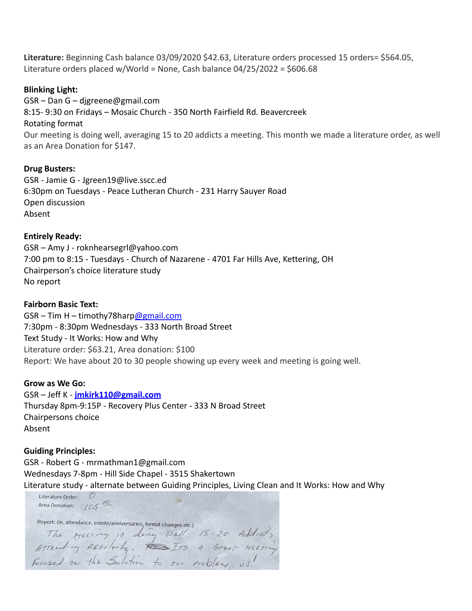**Literature:** Beginning Cash balance 03/09/2020 \$42.63, Literature orders processed 15 orders= \$564.05, Literature orders placed w/World = None, Cash balance 04/25/2022 = \$606.68

#### **Blinking Light:**

GSR – Dan G – djgreene@gmail.com 8:15- 9:30 on Fridays – Mosaic Church - 350 North Fairfield Rd. Beavercreek Rotating format Our meeting is doing well, averaging 15 to 20 addicts a meeting. This month we made a literature order, as well as an Area Donation for \$147.

#### **Drug Busters:**

GSR - Jamie G - Jgreen19@live.sscc.ed 6:30pm on Tuesdays - Peace Lutheran Church - 231 Harry Sauyer Road Open discussion Absent

#### **Entirely Ready:**

GSR – Amy J - roknhearsegrl@yahoo.com 7:00 pm to 8:15 - Tuesdays - Church of Nazarene - 4701 Far Hills Ave, Kettering, OH Chairperson's choice literature study No report

#### **Fairborn Basic Text:**

 $GSR - Tim H - timothy78harp@gmail.com$  $GSR - Tim H - timothy78harp@gmail.com$ 7:30pm - 8:30pm Wednesdays - 333 North Broad Street Text Study - It Works: How and Why Literature order: \$63.21, Area donation: \$100 Report: We have about 20 to 30 people showing up every week and meeting is going well.

#### **Grow as We Go:**

GSR – Jeff K - **[jmkirk110@gmail.com](mailto:jmkirk110@gmail.com)** Thursday 8pm-9:15P - Recovery Plus Center - 333 N Broad Street Chairpersons choice Absent

# **Guiding Principles:**

GSR - Robert G - mrmathman1@gmail.com Wednesdays 7-8pm - Hill Side Chapel - 3515 Shakertown Literature study - alternate between Guiding Principles, Living Clean and It Works: How and Why

Literature Order:  $\mathcal{O}$ Area Donation:  $/05$ <sup>00</sup> Report: (ie. attendance, events/anniversaries, format changes etc.) The MEETING is doing well 15-20 Addicts<br>Attending REGULArly, ED ITS A Great MELTING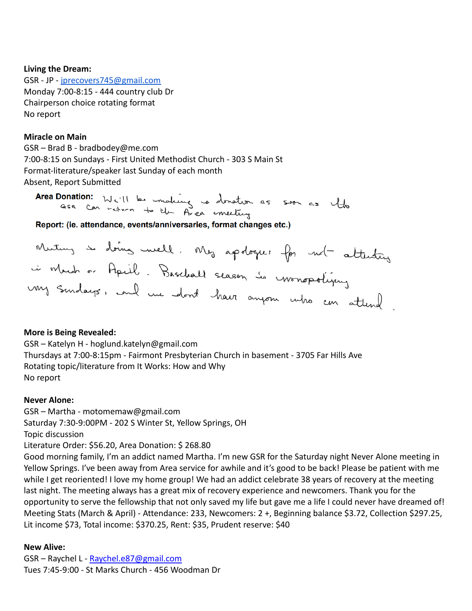# **Living the Dream:**

GSR - JP - [jprecovers745@gmail.com](mailto:jprecovers745@gmail.com) Monday 7:00-8:15 - 444 country club Dr Chairperson choice rotating format No report

# **Miracle on Main**

GSR – Brad B - bradbodey@me.com 7:00-8:15 on Sundays - First United Methodist Church - 303 S Main St Format-literature/speaker last Sunday of each month Absent, Report Submitted

Area Donation: We'll be making to donation as soon as the

Report: (ie. attendance, events/anniversaries, format changes etc.)

# **More is Being Revealed:**

GSR – Katelyn H - hoglund.katelyn@gmail.com Thursdays at 7:00-8:15pm - Fairmont Presbyterian Church in basement - 3705 Far Hills Ave Rotating topic/literature from It Works: How and Why No report

# **Never Alone:**

GSR – Martha - motomemaw@gmail.com

Saturday 7:30-9:00PM - 202 S Winter St, Yellow Springs, OH

Topic discussion

Literature Order: \$56.20, Area Donation: \$ 268.80

Good morning family, I'm an addict named Martha. I'm new GSR for the Saturday night Never Alone meeting in Yellow Springs. I've been away from Area service for awhile and it's good to be back! Please be patient with me while I get reoriented! I love my home group! We had an addict celebrate 38 years of recovery at the meeting last night. The meeting always has a great mix of recovery experience and newcomers. Thank you for the opportunity to serve the fellowship that not only saved my life but gave me a life I could never have dreamed of! Meeting Stats (March & April) - Attendance: 233, Newcomers: 2 +, Beginning balance \$3.72, Collection \$297.25, Lit income \$73, Total income: \$370.25, Rent: \$35, Prudent reserve: \$40

# **New Alive:**

GSR – Raychel L - Raychel.e87@gmail.com Tues 7:45-9:00 - St Marks Church - 456 Woodman Dr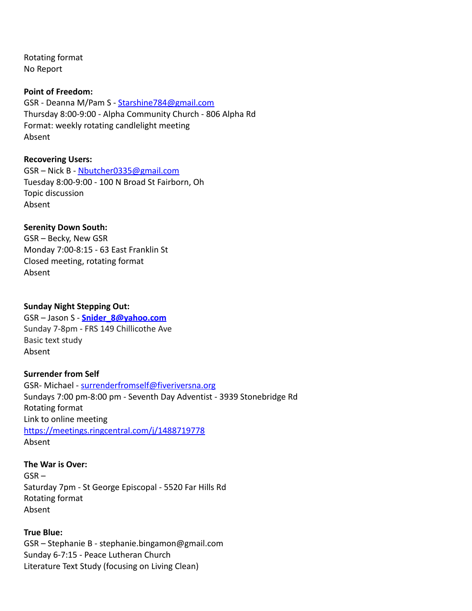Rotating format No Report

#### **Point of Freedom:**

GSR - Deanna M/Pam S - [Starshine784@gmail.com](mailto:Starshine784@gmail.com) Thursday 8:00-9:00 - Alpha Community Church - 806 Alpha Rd Format: weekly rotating candlelight meeting Absent

# **Recovering Users:**

GSR – Nick B - [Nbutcher0335@gmail.com](mailto:Nbutcher0335@gmail.com) Tuesday 8:00-9:00 - 100 N Broad St Fairborn, Oh Topic discussion Absent

# **Serenity Down South:**

GSR – Becky, New GSR Monday 7:00-8:15 - 63 East Franklin St Closed meeting, rotating format Absent

#### **Sunday Night Stepping Out:**

GSR – Jason S - **[Snider\\_8@yahoo.com](mailto:Snider_8@yahoo.com)** Sunday 7-8pm - FRS 149 Chillicothe Ave Basic text study Absent

# **Surrender from Self**

GSR- Michael - [surrenderfromself@fiveriversna.org](mailto:surrenderfromself@fiveriversna.org) Sundays 7:00 pm-8:00 pm - Seventh Day Adventist - 3939 Stonebridge Rd Rotating format Link to online meeting <https://meetings.ringcentral.com/j/1488719778> Absent

# **The War is Over:**

GSR – Saturday 7pm - St George Episcopal - 5520 Far Hills Rd Rotating format Absent

# **True Blue:**

GSR – Stephanie B - stephanie.bingamon@gmail.com Sunday 6-7:15 - Peace Lutheran Church Literature Text Study (focusing on Living Clean)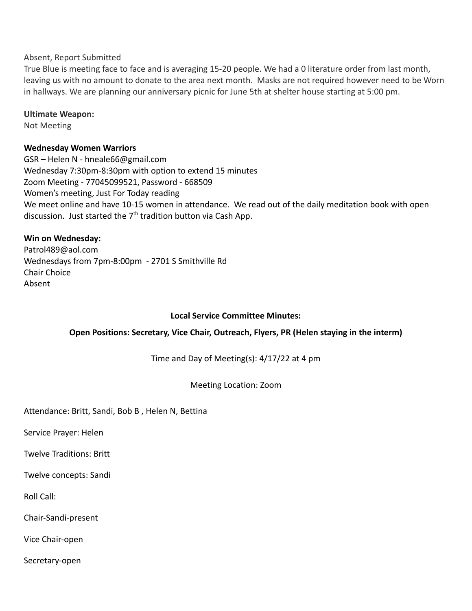# Absent, Report Submitted

True Blue is meeting face to face and is averaging 15-20 people. We had a 0 literature order from last month, leaving us with no amount to donate to the area next month. Masks are not required however need to be Worn in hallways. We are planning our anniversary picnic for June 5th at shelter house starting at 5:00 pm.

#### **Ultimate Weapon:**

Not Meeting

# **Wednesday Women Warriors**

GSR – Helen N - hneale66@gmail.com Wednesday 7:30pm-8:30pm with option to extend 15 minutes Zoom Meeting - 77045099521, Password - 668509 Women's meeting, Just For Today reading We meet online and have 10-15 women in attendance. We read out of the daily meditation book with open discussion. Just started the  $7<sup>th</sup>$  tradition button via Cash App.

# **Win on Wednesday:**

Patrol489@aol.com Wednesdays from 7pm-8:00pm - 2701 S Smithville Rd Chair Choice Absent

# **Local Service Committee Minutes:**

# **Open Positions: Secretary, Vice Chair, Outreach, Flyers, PR (Helen staying in the interm)**

Time and Day of Meeting(s): 4/17/22 at 4 pm

Meeting Location: Zoom

Attendance: Britt, Sandi, Bob B , Helen N, Bettina

Service Prayer: Helen

Twelve Traditions: Britt

Twelve concepts: Sandi

Roll Call:

Chair-Sandi-present

Vice Chair-open

Secretary-open